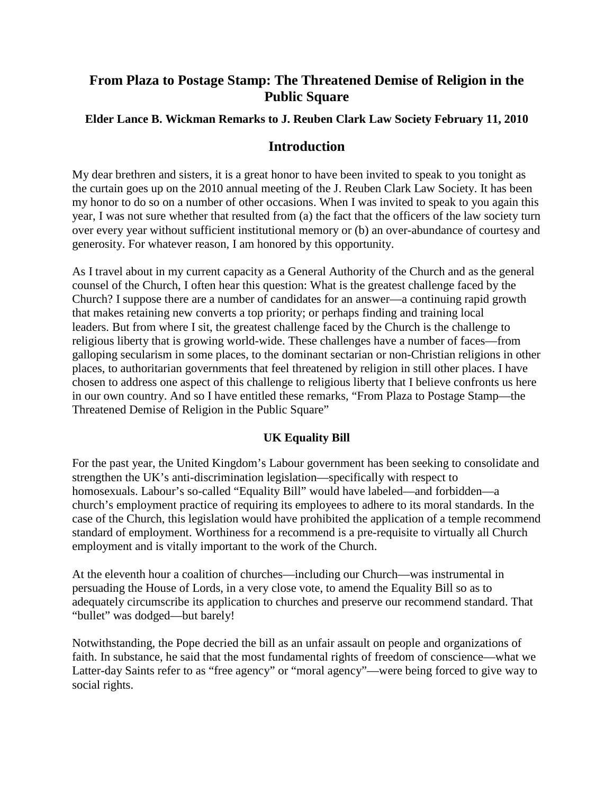# **From Plaza to Postage Stamp: The Threatened Demise of Religion in the Public Square**

## **Elder Lance B. Wickman Remarks to J. Reuben Clark Law Society February 11, 2010**

## **Introduction**

My dear brethren and sisters, it is a great honor to have been invited to speak to you tonight as the curtain goes up on the 2010 annual meeting of the J. Reuben Clark Law Society. It has been my honor to do so on a number of other occasions. When I was invited to speak to you again this year, I was not sure whether that resulted from (a) the fact that the officers of the law society turn over every year without sufficient institutional memory or (b) an over-abundance of courtesy and generosity. For whatever reason, I am honored by this opportunity.

As I travel about in my current capacity as a General Authority of the Church and as the general counsel of the Church, I often hear this question: What is the greatest challenge faced by the Church? I suppose there are a number of candidates for an answer—a continuing rapid growth that makes retaining new converts a top priority; or perhaps finding and training local leaders. But from where I sit, the greatest challenge faced by the Church is the challenge to religious liberty that is growing world-wide. These challenges have a number of faces—from galloping secularism in some places, to the dominant sectarian or non-Christian religions in other places, to authoritarian governments that feel threatened by religion in still other places. I have chosen to address one aspect of this challenge to religious liberty that I believe confronts us here in our own country. And so I have entitled these remarks, "From Plaza to Postage Stamp—the Threatened Demise of Religion in the Public Square"

## **UK Equality Bill**

For the past year, the United Kingdom's Labour government has been seeking to consolidate and strengthen the UK's anti-discrimination legislation—specifically with respect to homosexuals. Labour's so-called "Equality Bill" would have labeled—and forbidden—a church's employment practice of requiring its employees to adhere to its moral standards. In the case of the Church, this legislation would have prohibited the application of a temple recommend standard of employment. Worthiness for a recommend is a pre-requisite to virtually all Church employment and is vitally important to the work of the Church.

At the eleventh hour a coalition of churches—including our Church—was instrumental in persuading the House of Lords, in a very close vote, to amend the Equality Bill so as to adequately circumscribe its application to churches and preserve our recommend standard. That "bullet" was dodged—but barely!

Notwithstanding, the Pope decried the bill as an unfair assault on people and organizations of faith. In substance, he said that the most fundamental rights of freedom of conscience—what we Latter-day Saints refer to as "free agency" or "moral agency"—were being forced to give way to social rights.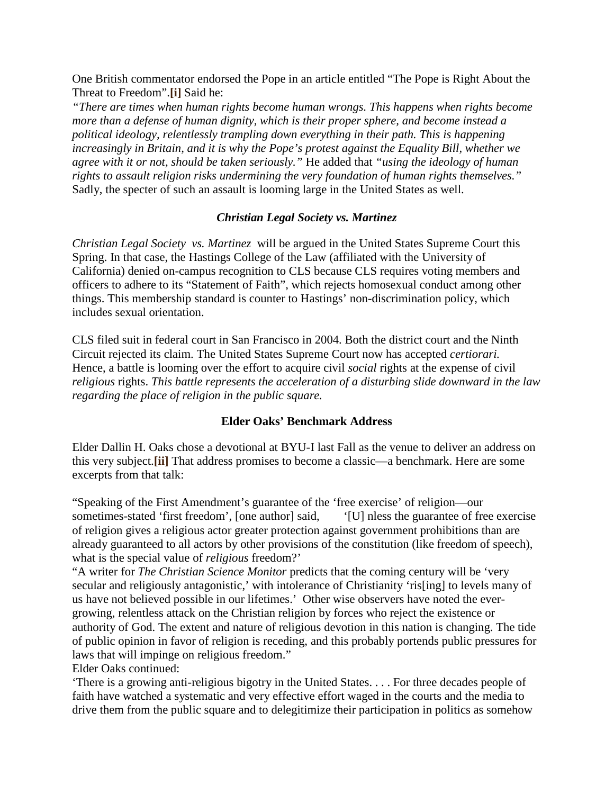One British commentator endorsed the Pope in an article entitled "The Pope is Right About the Threat to Freedom".**[\[i\]](http://www.jrcls.org/news/item.php?num=711#_edn1)** Said he:

*"There are times when human rights become human wrongs. This happens when rights become more than a defense of human dignity, which is their proper sphere, and become instead a political ideology, relentlessly trampling down everything in their path. This is happening increasingly in Britain, and it is why the Pope's protest against the Equality Bill, whether we agree with it or not, should be taken seriously."* He added that *"using the ideology of human rights to assault religion risks undermining the very foundation of human rights themselves."* Sadly, the specter of such an assault is looming large in the United States as well.

#### *Christian Legal Society vs. Martinez*

*Christian Legal Society vs. Martinez* will be argued in the United States Supreme Court this Spring. In that case, the Hastings College of the Law (affiliated with the University of California) denied on-campus recognition to CLS because CLS requires voting members and officers to adhere to its "Statement of Faith", which rejects homosexual conduct among other things. This membership standard is counter to Hastings' non-discrimination policy, which includes sexual orientation.

CLS filed suit in federal court in San Francisco in 2004. Both the district court and the Ninth Circuit rejected its claim. The United States Supreme Court now has accepted *certiorari.* Hence, a battle is looming over the effort to acquire civil *social* rights at the expense of civil *religious* rights. *This battle represents the acceleration of a disturbing slide downward in the law regarding the place of religion in the public square.*

#### **Elder Oaks' Benchmark Address**

Elder Dallin H. Oaks chose a devotional at BYU-I last Fall as the venue to deliver an address on this very subject.**[\[ii\]](http://www.jrcls.org/news/item.php?num=711#_edn2)** That address promises to become a classic—a benchmark. Here are some excerpts from that talk:

"Speaking of the First Amendment's guarantee of the 'free exercise' of religion—our sometimes-stated 'first freedom', [one author] said, '[U] nless the guarantee of free exercise of religion gives a religious actor greater protection against government prohibitions than are already guaranteed to all actors by other provisions of the constitution (like freedom of speech), what is the special value of *religious* freedom?'

"A writer for *The Christian Science Monitor* predicts that the coming century will be 'very secular and religiously antagonistic,' with intolerance of Christianity 'ris[ing] to levels many of us have not believed possible in our lifetimes.' Other wise observers have noted the evergrowing, relentless attack on the Christian religion by forces who reject the existence or authority of God. The extent and nature of religious devotion in this nation is changing. The tide of public opinion in favor of religion is receding, and this probably portends public pressures for laws that will impinge on religious freedom."

Elder Oaks continued:

'There is a growing anti-religious bigotry in the United States. . . . For three decades people of faith have watched a systematic and very effective effort waged in the courts and the media to drive them from the public square and to delegitimize their participation in politics as somehow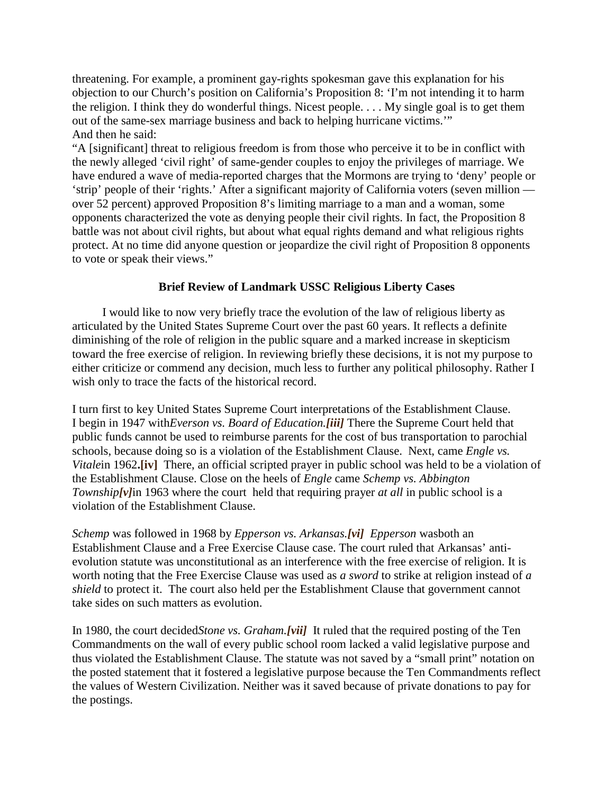threatening. For example, a prominent gay-rights spokesman gave this explanation for his objection to our Church's position on California's Proposition 8: 'I'm not intending it to harm the religion. I think they do wonderful things. Nicest people. . . . My single goal is to get them out of the same-sex marriage business and back to helping hurricane victims.'" And then he said:

"A [significant] threat to religious freedom is from those who perceive it to be in conflict with the newly alleged 'civil right' of same-gender couples to enjoy the privileges of marriage. We have endured a wave of media-reported charges that the Mormons are trying to 'deny' people or 'strip' people of their 'rights.' After a significant majority of California voters (seven million over 52 percent) approved Proposition 8's limiting marriage to a man and a woman, some opponents characterized the vote as denying people their civil rights. In fact, the Proposition 8 battle was not about civil rights, but about what equal rights demand and what religious rights protect. At no time did anyone question or jeopardize the civil right of Proposition 8 opponents to vote or speak their views."

## **Brief Review of Landmark USSC Religious Liberty Cases**

 I would like to now very briefly trace the evolution of the law of religious liberty as articulated by the United States Supreme Court over the past 60 years. It reflects a definite diminishing of the role of religion in the public square and a marked increase in skepticism toward the free exercise of religion. In reviewing briefly these decisions, it is not my purpose to either criticize or commend any decision, much less to further any political philosophy. Rather I wish only to trace the facts of the historical record.

I turn first to key United States Supreme Court interpretations of the Establishment Clause. I begin in 1947 with*Everson vs. Board of Education.[\[iii\]](http://www.jrcls.org/news/item.php?num=711#_edn3)* There the Supreme Court held that public funds cannot be used to reimburse parents for the cost of bus transportation to parochial schools, because doing so is a violation of the Establishment Clause. Next, came *Engle vs. Vitale*in 1962.<sup>[iv]</sup> There, an official scripted prayer in public school was held to be a violation of the Establishment Clause. Close on the heels of *Engle* came *Schemp vs. Abbington Township*<sup>[\[v\]](http://www.jrcls.org/news/item.php?num=711#_edn5)</sup>in 1963 where the court held that requiring prayer *at all* in public school is a violation of the Establishment Clause.

*Schemp* was followed in 1968 by *Epperson vs. Arkansas.[\[vi\]](http://www.jrcls.org/news/item.php?num=711#_edn6) Epperson* wasboth an Establishment Clause and a Free Exercise Clause case. The court ruled that Arkansas' antievolution statute was unconstitutional as an interference with the free exercise of religion. It is worth noting that the Free Exercise Clause was used as *a sword* to strike at religion instead of *a shield* to protect it. The court also held per the Establishment Clause that government cannot take sides on such matters as evolution.

In 1980, the court decided*Stone vs. Graham.[\[vii\]](http://www.jrcls.org/news/item.php?num=711#_edn7)* It ruled that the required posting of the Ten Commandments on the wall of every public school room lacked a valid legislative purpose and thus violated the Establishment Clause. The statute was not saved by a "small print" notation on the posted statement that it fostered a legislative purpose because the Ten Commandments reflect the values of Western Civilization. Neither was it saved because of private donations to pay for the postings.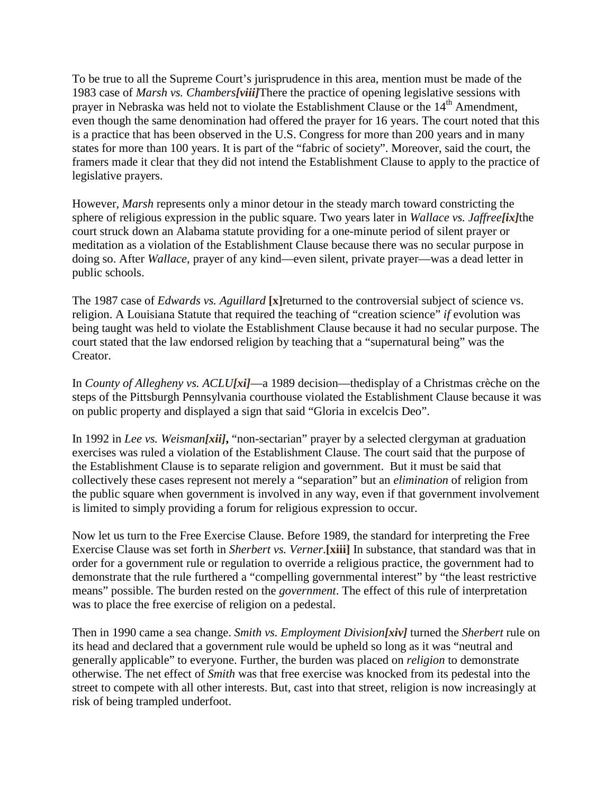To be true to all the Supreme Court's jurisprudence in this area, mention must be made of the 1983 case of *Marsh vs. Chambers[\[viii\]](http://www.jrcls.org/news/item.php?num=711#_edn8)*There the practice of opening legislative sessions with prayer in Nebraska was held not to violate the Establishment Clause or the 14<sup>th</sup> Amendment, even though the same denomination had offered the prayer for 16 years. The court noted that this is a practice that has been observed in the U.S. Congress for more than 200 years and in many states for more than 100 years. It is part of the "fabric of society". Moreover, said the court, the framers made it clear that they did not intend the Establishment Clause to apply to the practice of legislative prayers.

However, *Marsh* represents only a minor detour in the steady march toward constricting the sphere of religious expression in the public square. Two years later in *Wallace vs. Jaffree[\[ix\]](http://www.jrcls.org/news/item.php?num=711#_edn9)*the court struck down an Alabama statute providing for a one-minute period of silent prayer or meditation as a violation of the Establishment Clause because there was no secular purpose in doing so. After *Wallace*, prayer of any kind—even silent, private prayer—was a dead letter in public schools.

The 1987 case of *Edwards vs. Aguillard* **[\[x\]](http://www.jrcls.org/news/item.php?num=711#_edn10)**returned to the controversial subject of science vs. religion. A Louisiana Statute that required the teaching of "creation science" *if* evolution was being taught was held to violate the Establishment Clause because it had no secular purpose. The court stated that the law endorsed religion by teaching that a "supernatural being" was the Creator.

In *County of Allegheny vs. ACLU[\[xi\]](http://www.jrcls.org/news/item.php?num=711#_edn11)*—a 1989 decision—thedisplay of a Christmas crèche on the steps of the Pittsburgh Pennsylvania courthouse violated the Establishment Clause because it was on public property and displayed a sign that said "Gloria in excelcis Deo".

In 1992 in *Lee vs. Weisman[\[xii\]](http://www.jrcls.org/news/item.php?num=711#_edn12)***,** "non-sectarian" prayer by a selected clergyman at graduation exercises was ruled a violation of the Establishment Clause. The court said that the purpose of the Establishment Clause is to separate religion and government. But it must be said that collectively these cases represent not merely a "separation" but an *elimination* of religion from the public square when government is involved in any way, even if that government involvement is limited to simply providing a forum for religious expression to occur.

Now let us turn to the Free Exercise Clause. Before 1989, the standard for interpreting the Free Exercise Clause was set forth in *Sherbert vs. Verner*.**[\[xiii\]](http://www.jrcls.org/news/item.php?num=711#_edn13)** In substance, that standard was that in order for a government rule or regulation to override a religious practice, the government had to demonstrate that the rule furthered a "compelling governmental interest" by "the least restrictive means" possible. The burden rested on the *government*. The effect of this rule of interpretation was to place the free exercise of religion on a pedestal.

Then in 1990 came a sea change. *Smith vs. Employment Division[\[xiv\]](http://www.jrcls.org/news/item.php?num=711#_edn14)* turned the *Sherbert* rule on its head and declared that a government rule would be upheld so long as it was "neutral and generally applicable" to everyone. Further, the burden was placed on *religion* to demonstrate otherwise. The net effect of *Smith* was that free exercise was knocked from its pedestal into the street to compete with all other interests. But, cast into that street, religion is now increasingly at risk of being trampled underfoot.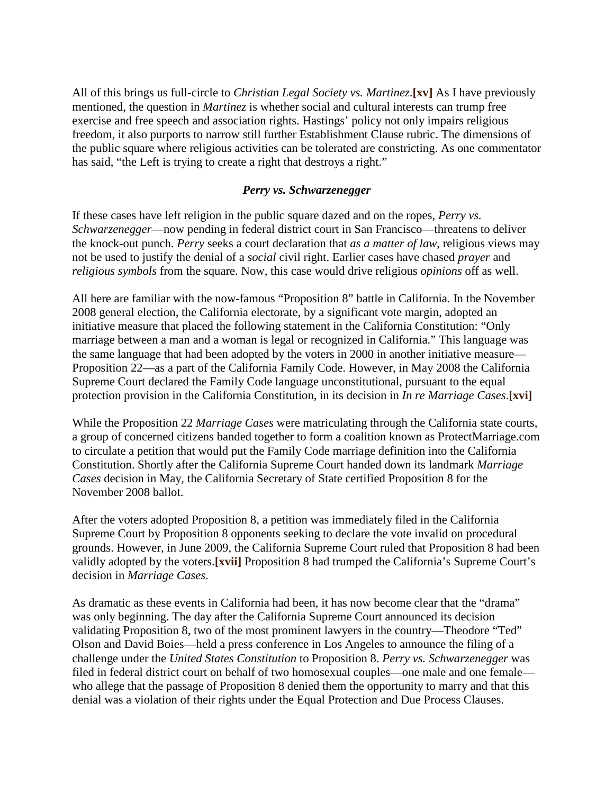All of this brings us full-circle to *Christian Legal Society vs. Martinez*.**[\[xv\]](http://www.jrcls.org/news/item.php?num=711#_edn15)** As I have previously mentioned, the question in *Martinez* is whether social and cultural interests can trump free exercise and free speech and association rights. Hastings' policy not only impairs religious freedom, it also purports to narrow still further Establishment Clause rubric. The dimensions of the public square where religious activities can be tolerated are constricting. As one commentator has said, "the Left is trying to create a right that destroys a right."

#### *Perry vs. Schwarzenegger*

If these cases have left religion in the public square dazed and on the ropes, *Perry vs. Schwarzenegger*—now pending in federal district court in San Francisco—threatens to deliver the knock-out punch. *Perry* seeks a court declaration that *as a matter of law*, religious views may not be used to justify the denial of a *social* civil right. Earlier cases have chased *prayer* and *religious symbols* from the square. Now, this case would drive religious *opinions* off as well.

All here are familiar with the now-famous "Proposition 8" battle in California. In the November 2008 general election, the California electorate, by a significant vote margin, adopted an initiative measure that placed the following statement in the California Constitution: "Only marriage between a man and a woman is legal or recognized in California." This language was the same language that had been adopted by the voters in 2000 in another initiative measure— Proposition 22—as a part of the California Family Code. However, in May 2008 the California Supreme Court declared the Family Code language unconstitutional, pursuant to the equal protection provision in the California Constitution, in its decision in *In re Marriage Cases*.**[\[xvi\]](http://www.jrcls.org/news/item.php?num=711#_edn16)**

While the Proposition 22 *Marriage Cases* were matriculating through the California state courts, a group of concerned citizens banded together to form a coalition known as ProtectMarriage.com to circulate a petition that would put the Family Code marriage definition into the California Constitution. Shortly after the California Supreme Court handed down its landmark *Marriage Cases* decision in May, the California Secretary of State certified Proposition 8 for the November 2008 ballot.

After the voters adopted Proposition 8, a petition was immediately filed in the California Supreme Court by Proposition 8 opponents seeking to declare the vote invalid on procedural grounds. However, in June 2009, the California Supreme Court ruled that Proposition 8 had been validly adopted by the voters.**[\[xvii\]](http://www.jrcls.org/news/item.php?num=711#_edn17)** Proposition 8 had trumped the California's Supreme Court's decision in *Marriage Cases*.

As dramatic as these events in California had been, it has now become clear that the "drama" was only beginning. The day after the California Supreme Court announced its decision validating Proposition 8, two of the most prominent lawyers in the country—Theodore "Ted" Olson and David Boies—held a press conference in Los Angeles to announce the filing of a challenge under the *United States Constitution* to Proposition 8. *Perry vs. Schwarzenegger* was filed in federal district court on behalf of two homosexual couples—one male and one female who allege that the passage of Proposition 8 denied them the opportunity to marry and that this denial was a violation of their rights under the Equal Protection and Due Process Clauses.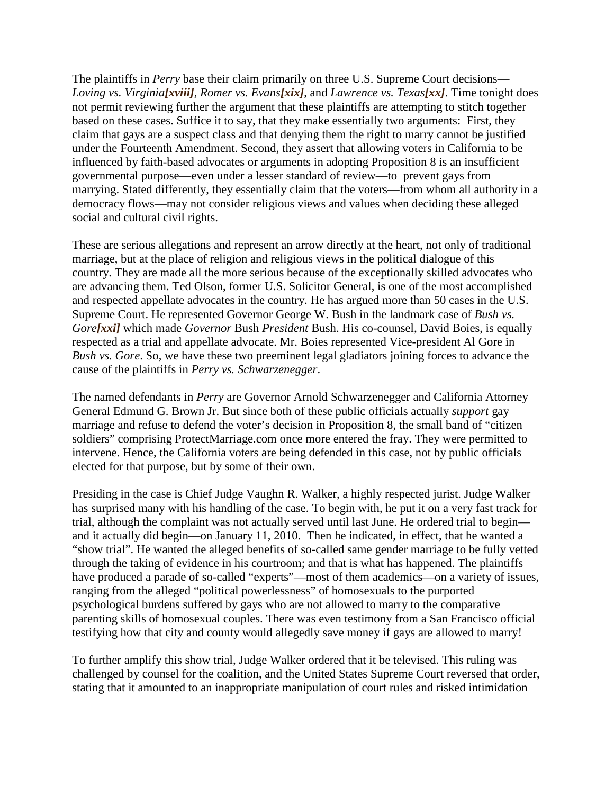The plaintiffs in *Perry* base their claim primarily on three U.S. Supreme Court decisions— *Loving vs. Virginia[\[xviii\]](http://www.jrcls.org/news/item.php?num=711#_edn18)*, *Romer vs. Evans[\[xix\]](http://www.jrcls.org/news/item.php?num=711#_edn19)*, and *Lawrence vs. Texas[\[xx\]](http://www.jrcls.org/news/item.php?num=711#_edn20)*. Time tonight does not permit reviewing further the argument that these plaintiffs are attempting to stitch together based on these cases. Suffice it to say, that they make essentially two arguments: First, they claim that gays are a suspect class and that denying them the right to marry cannot be justified under the Fourteenth Amendment. Second, they assert that allowing voters in California to be influenced by faith-based advocates or arguments in adopting Proposition 8 is an insufficient governmental purpose—even under a lesser standard of review—to prevent gays from marrying. Stated differently, they essentially claim that the voters—from whom all authority in a democracy flows—may not consider religious views and values when deciding these alleged social and cultural civil rights.

These are serious allegations and represent an arrow directly at the heart, not only of traditional marriage, but at the place of religion and religious views in the political dialogue of this country. They are made all the more serious because of the exceptionally skilled advocates who are advancing them. Ted Olson, former U.S. Solicitor General, is one of the most accomplished and respected appellate advocates in the country. He has argued more than 50 cases in the U.S. Supreme Court. He represented Governor George W. Bush in the landmark case of *Bush vs. Gore[\[xxi\]](http://www.jrcls.org/news/item.php?num=711#_edn21)* which made *Governor* Bush *President* Bush. His co-counsel, David Boies, is equally respected as a trial and appellate advocate. Mr. Boies represented Vice-president Al Gore in *Bush vs. Gore*. So, we have these two preeminent legal gladiators joining forces to advance the cause of the plaintiffs in *Perry vs. Schwarzenegger*.

The named defendants in *Perry* are Governor Arnold Schwarzenegger and California Attorney General Edmund G. Brown Jr. But since both of these public officials actually *support* gay marriage and refuse to defend the voter's decision in Proposition 8, the small band of "citizen soldiers" comprising ProtectMarriage.com once more entered the fray. They were permitted to intervene. Hence, the California voters are being defended in this case, not by public officials elected for that purpose, but by some of their own.

Presiding in the case is Chief Judge Vaughn R. Walker, a highly respected jurist. Judge Walker has surprised many with his handling of the case. To begin with, he put it on a very fast track for trial, although the complaint was not actually served until last June. He ordered trial to begin and it actually did begin—on January 11, 2010. Then he indicated, in effect, that he wanted a "show trial". He wanted the alleged benefits of so-called same gender marriage to be fully vetted through the taking of evidence in his courtroom; and that is what has happened. The plaintiffs have produced a parade of so-called "experts"—most of them academics—on a variety of issues, ranging from the alleged "political powerlessness" of homosexuals to the purported psychological burdens suffered by gays who are not allowed to marry to the comparative parenting skills of homosexual couples. There was even testimony from a San Francisco official testifying how that city and county would allegedly save money if gays are allowed to marry!

To further amplify this show trial, Judge Walker ordered that it be televised. This ruling was challenged by counsel for the coalition, and the United States Supreme Court reversed that order, stating that it amounted to an inappropriate manipulation of court rules and risked intimidation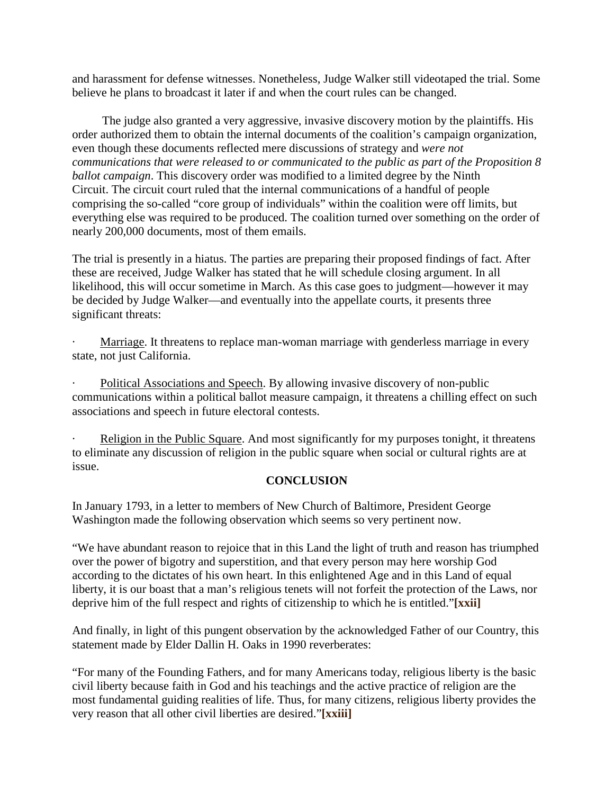and harassment for defense witnesses. Nonetheless, Judge Walker still videotaped the trial. Some believe he plans to broadcast it later if and when the court rules can be changed.

 The judge also granted a very aggressive, invasive discovery motion by the plaintiffs. His order authorized them to obtain the internal documents of the coalition's campaign organization, even though these documents reflected mere discussions of strategy and *were not communications that were released to or communicated to the public as part of the Proposition 8 ballot campaign*. This discovery order was modified to a limited degree by the Ninth Circuit. The circuit court ruled that the internal communications of a handful of people comprising the so-called "core group of individuals" within the coalition were off limits, but everything else was required to be produced. The coalition turned over something on the order of nearly 200,000 documents, most of them emails.

The trial is presently in a hiatus. The parties are preparing their proposed findings of fact. After these are received, Judge Walker has stated that he will schedule closing argument. In all likelihood, this will occur sometime in March. As this case goes to judgment—however it may be decided by Judge Walker—and eventually into the appellate courts, it presents three significant threats:

Marriage. It threatens to replace man-woman marriage with genderless marriage in every state, not just California.

Political Associations and Speech. By allowing invasive discovery of non-public communications within a political ballot measure campaign, it threatens a chilling effect on such associations and speech in future electoral contests.

Religion in the Public Square. And most significantly for my purposes tonight, it threatens to eliminate any discussion of religion in the public square when social or cultural rights are at issue.

## **CONCLUSION**

In January 1793, in a letter to members of New Church of Baltimore, President George Washington made the following observation which seems so very pertinent now.

"We have abundant reason to rejoice that in this Land the light of truth and reason has triumphed over the power of bigotry and superstition, and that every person may here worship God according to the dictates of his own heart. In this enlightened Age and in this Land of equal liberty, it is our boast that a man's religious tenets will not forfeit the protection of the Laws, nor deprive him of the full respect and rights of citizenship to which he is entitled."**[\[xxii\]](http://www.jrcls.org/news/item.php?num=711#_edn22)**

And finally, in light of this pungent observation by the acknowledged Father of our Country, this statement made by Elder Dallin H. Oaks in 1990 reverberates:

"For many of the Founding Fathers, and for many Americans today, religious liberty is the basic civil liberty because faith in God and his teachings and the active practice of religion are the most fundamental guiding realities of life. Thus, for many citizens, religious liberty provides the very reason that all other civil liberties are desired."**[\[xxiii\]](http://www.jrcls.org/news/item.php?num=711#_edn23)**